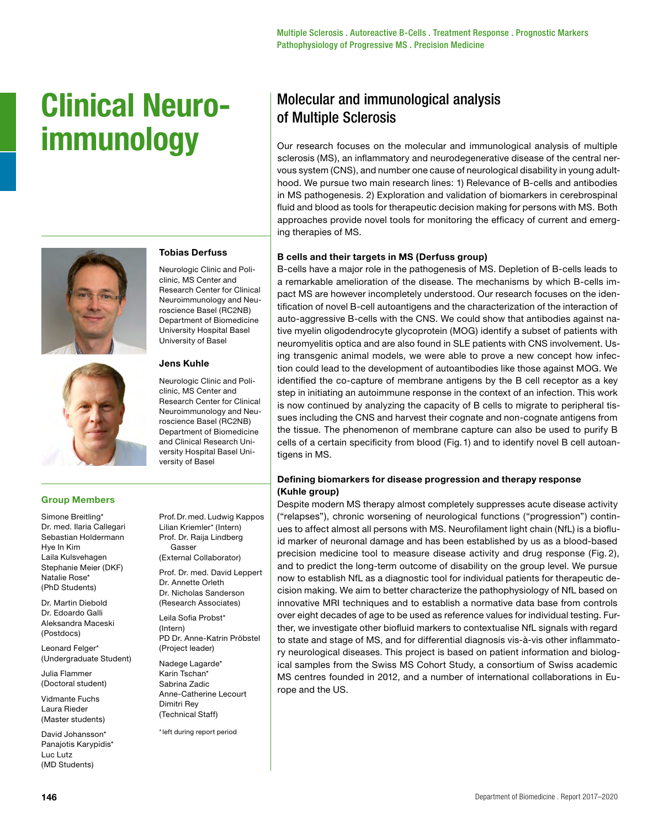# **Clinical Neuroimmunology**



# **Tobias Derfuss**

Neurologic Clinic and Policlinic, MS Center and Research Center for Clinical Neuroimmunology and Neuroscience Basel (RC2NB) Department of Biomedicine University Hospital Basel University of Basel

#### **Jens Kuhle**

Neurologic Clinic and Policlinic, MS Center and Research Center for Clinical Neuroimmunology and Neuroscience Basel (RC2NB) Department of Biomedicine and Clinical Research University Hospital Basel University of Basel

## **Group Members**

Simone Breitling\* Dr. med. Ilaria Callegari Sebastian Holdermann Hye In Kim Laila Kulsvehagen Stephanie Meier (DKF) Natalie Rose\* (PhD Students)

Dr. Martin Diebold Dr. Edoardo Galli Aleksandra Maceski (Postdocs)

Leonard Felger\* (Undergraduate Student)

Julia Flammer (Doctoral student)

Vidmante Fuchs Laura Rieder (Master students)

David Johansson\* Panajotis Karypidis\* Luc Lutz (MD Students)

Prof.Dr.med. Ludwig Kappos Lilian Kriemler\* (Intern) Prof. Dr. Raija Lindberg Gasser (External Collaborator)

Prof. Dr. med. David Leppert Dr. Annette Orleth Dr. Nicholas Sanderson (Research Associates)

Leila Sofia Probst\* (Intern) PD Dr. Anne-Katrin Pröbstel (Project leader)

Nadege Lagarde\* Karin Tschan\* Sabrina Zadic Anne-Catherine Lecourt Dimitri Rey (Technical Staff)

\*left during report period

# Molecular and immunological analysis of Multiple Sclerosis

Our research focuses on the molecular and immunological analysis of multiple sclerosis (MS), an inflammatory and neurodegenerative disease of the central nervous system (CNS), and number one cause of neurological disability in young adulthood. We pursue two main research lines: 1) Relevance of B-cells and antibodies in MS pathogenesis. 2) Exploration and validation of biomarkers in cerebrospinal fluid and blood as tools for therapeutic decision making for persons with MS. Both approaches provide novel tools for monitoring the efficacy of current and emerging therapies of MS.

#### **B cells and their targets in MS (Derfuss group)**

B-cells have a major role in the pathogenesis of MS. Depletion of B-cells leads to a remarkable amelioration of the disease. The mechanisms by which B-cells impact MS are however incompletely understood. Our research focuses on the identification of novel B-cell autoantigens and the characterization of the interaction of auto-aggressive B-cells with the CNS. We could show that antibodies against native myelin oligodendrocyte glycoprotein (MOG) identify a subset of patients with neuromyelitis optica and are also found in SLE patients with CNS involvement. Using transgenic animal models, we were able to prove a new concept how infection could lead to the development of autoantibodies like those against MOG. We identified the co-capture of membrane antigens by the B cell receptor as a key step in initiating an autoimmune response in the context of an infection. This work is now continued by analyzing the capacity of B cells to migrate to peripheral tissues including the CNS and harvest their cognate and non-cognate antigens from the tissue. The phenomenon of membrane capture can also be used to purify B cells of a certain specificity from blood (Fig.1) and to identify novel B cell autoantigens in MS.

## **Defining biomarkers for disease progression and therapy response (Kuhle group)**

Despite modern MS therapy almost completely suppresses acute disease activity ("relapses"), chronic worsening of neurological functions ("progression") continues to affect almost all persons with MS. Neurofilament light chain (NfL) is a biofluid marker of neuronal damage and has been established by us as a blood-based precision medicine tool to measure disease activity and drug response (Fig. 2), and to predict the long-term outcome of disability on the group level. We pursue now to establish NfL as a diagnostic tool for individual patients for therapeutic decision making. We aim to better characterize the pathophysiology of NfL based on innovative MRI techniques and to establish a normative data base from controls over eight decades of age to be used as reference values for individual testing. Further, we investigate other biofluid markers to contextualise NfL signals with regard to state and stage of MS, and for differential diagnosis vis-à-vis other inflammatory neurological diseases. This project is based on patient information and biological samples from the Swiss MS Cohort Study, a consortium of Swiss academic MS centres founded in 2012, and a number of international collaborations in Europe and the US.